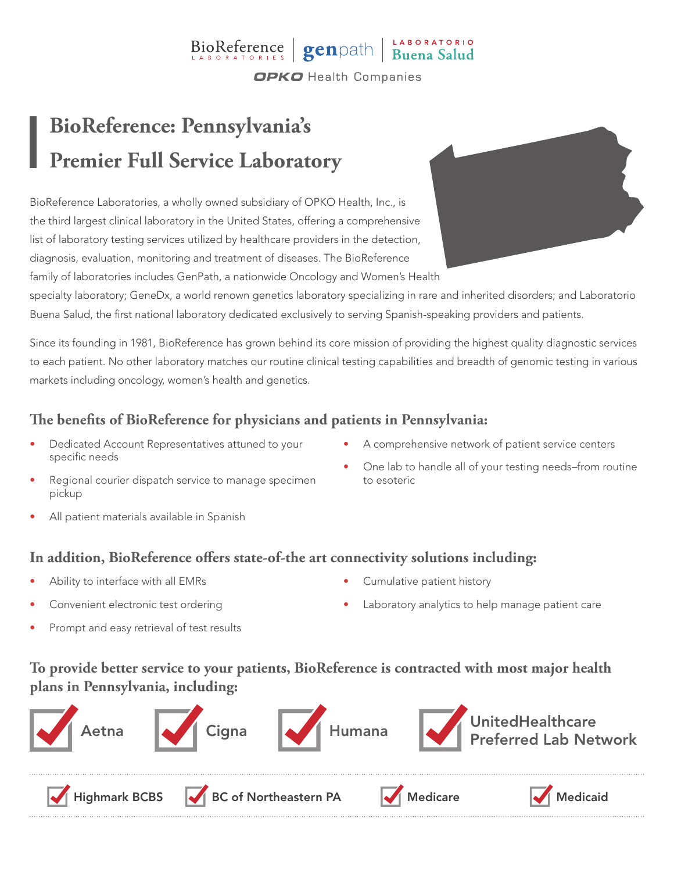## BioReference genpath Buena Salud **OPKO** Health Companies

# **BioReference: Pennsylvania's Premier Full Service Laboratory**

BioReference Laboratories, a wholly owned subsidiary of OPKO Health, Inc., is the third largest clinical laboratory in the United States, offering a comprehensive list of laboratory testing services utilized by healthcare providers in the detection, diagnosis, evaluation, monitoring and treatment of diseases. The BioReference family of laboratories includes GenPath, a nationwide Oncology and Women's Health



specialty laboratory; GeneDx, a world renown genetics laboratory specializing in rare and inherited disorders; and Laboratorio Buena Salud, the first national laboratory dedicated exclusively to serving Spanish-speaking providers and patients.

Since its founding in 1981, BioReference has grown behind its core mission of providing the highest quality diagnostic services to each patient. No other laboratory matches our routine clinical testing capabilities and breadth of genomic testing in various markets including oncology, women's health and genetics.

### **The benefits of BioReference for physicians and patients in Pennsylvania:**

- Dedicated Account Representatives attuned to your specific needs
- A comprehensive network of patient service centers
- One lab to handle all of your testing needs–from routine to esoteric
- Regional courier dispatch service to manage specimen pickup
- All patient materials available in Spanish

#### **In addition, BioReference offers state-of-the art connectivity solutions including:**

- Ability to interface with all EMRs
- Convenient electronic test ordering
- Prompt and easy retrieval of test results
- Cumulative patient history
- Laboratory analytics to help manage patient care

### **To provide better service to your patients, BioReference is contracted with most major health plans in Pennsylvania, including:**